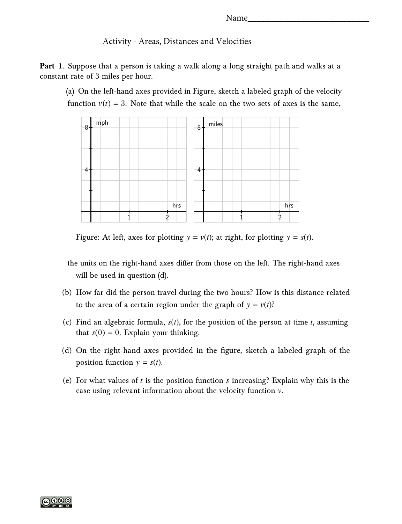## Activity - Areas, Distances and Velocities

**Part 1.** Suppose that a person is taking a walk along a long straight path and walks at a constant rate of 3 miles per hour.

(a) On the left-hand axes provided in Figure, sketch a labeled graph of the velocity function  $v(t) = 3$ . Note that while the scale on the two sets of axes is the same,



Figure: At left, axes for plotting  $y = v(t)$ ; at right, for plotting  $y = s(t)$ .

the units on the right-hand axes differ from those on the left. The right-hand axes will be used in question (d).

- (b) How far did the person travel during the two hours? How is this distance related to the area of a certain region under the graph of  $y = v(t)$ ?
- (c) Find an algebraic formula, *s*(*t*), for the position of the person at time *t*, assuming that  $s(0) = 0$ . Explain your thinking.
- (d) On the right-hand axes provided in the figure, sketch a labeled graph of the position function  $y = s(t)$ .
- (e) For what values of *t* is the position function *s* increasing? Explain why this is the case using relevant information about the velocity function v.

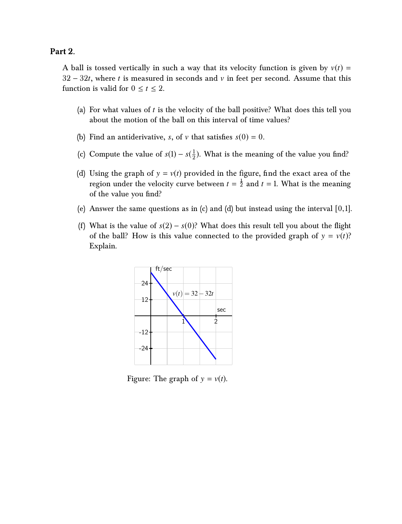## **Part 2.**

A ball is tossed vertically in such a way that its velocity function is given by  $v(t)$  = 32 − 32*t*, where *t* is measured in seconds and v in feet per second. Assume that this function is valid for  $0 \le t \le 2$ .

- (a) For what values of *t* is the velocity of the ball positive? What does this tell you about the motion of the ball on this interval of time values?
- (b) Find an antiderivative, *s*, of *v* that satisfies  $s(0) = 0$ .
- (c) Compute the value of  $s(1) s(\frac{1}{2})$  $\frac{1}{2}$ ). What is the meaning of the value you find?
- (d) Using the graph of  $y = v(t)$  provided in the figure, find the exact area of the region under the velocity curve between  $t = \frac{1}{2}$  and  $t = 1$ . What is the meaning of the value you find?
- (e) Answer the same questions as in (c) and (d) but instead using the interval  $[0,1]$ .
- (f) What is the value of  $s(2) s(0)$ ? What does this result tell you about the flight of the ball? How is this value connected to the provided graph of  $y = v(t)$ ? Explain.



Figure: The graph of  $y = v(t)$ .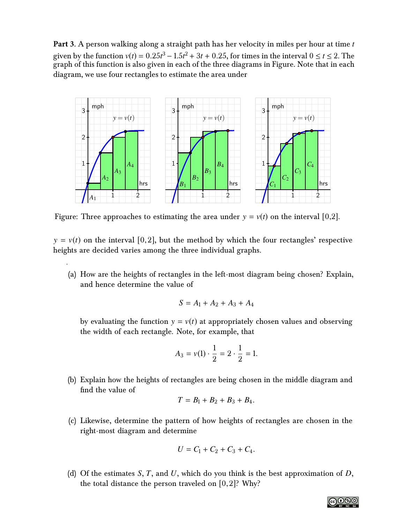**Part 3.** A person walking along a straight path has her velocity in miles per hour at time *t* given by the function  $v(t) = 0.25t^3 - 1.5t^2 + 3t + 0.25$ , for times in the interval  $0 \le t \le 2$ . The<br>graph of this function is also given in each of the three diagrams in Figure. Note that in each graph of this function is also given in each of the three diagrams in Figure. Note that in each diagram, we use four rectangles to estimate the area under



Figure: Three approaches to estimating the area under  $y = v(t)$  on the interval [0,2].

 $y = v(t)$  on the interval [0,2], but the method by which the four rectangles' respective heights are decided varies among the three individual graphs.

(a) How are the heights of rectangles in the left-most diagram being chosen? Explain, and hence determine the value of

$$
S = A_1 + A_2 + A_3 + A_4
$$

by evaluating the function  $y = v(t)$  at appropriately chosen values and observing the width of each rectangle. Note, for example, that

$$
A_3 = v(1) \cdot \frac{1}{2} = 2 \cdot \frac{1}{2} = 1.
$$

(b) Explain how the heights of rectangles are being chosen in the middle diagram and find the value of

$$
T = B_1 + B_2 + B_3 + B_4.
$$

(c) Likewise, determine the pattern of how heights of rectangles are chosen in the right-most diagram and determine

$$
U = C_1 + C_2 + C_3 + C_4.
$$

(d) Of the estimates *S*, *T*, and *U*, which do you think is the best approximation of *D*, the total distance the person traveled on  $[0,2]$ ? Why?